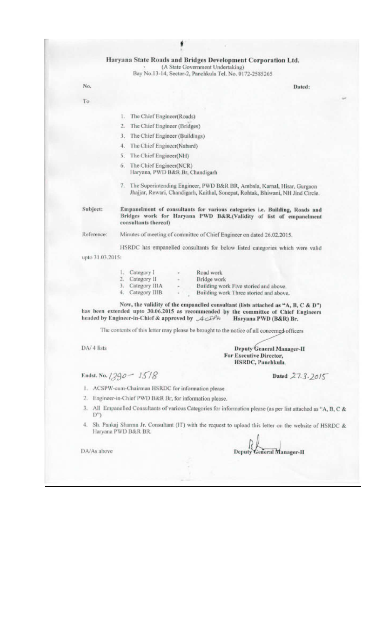#### Haryana State Roads and Bridges Development Corporation Ltd.

(A State Government Undertaking) Bay No.13-14, Sector-2, Panchkula Tel. No. 0172-2585265

Dated:

No. Τo

- 1. The Chief Engineer(Roads)
- 2. The Chief Engineer (Bridges)
- 3. The Chief Engineer (Buildings)
- 4. The Chief Engineer(Nabard)
- 5. The Chief Engineer(NH)
- 6. The Chief Engineer(NCR) Haryana, PWD B&R Br, Chandigarh
- 7. The Superintending Engineer, PWD B&R BR, Ambala, Karnal, Hisar, Gurgaon Jhajjar, Rewari, Chandigarh, Kaithal, Sonepat, Rohtak, Bhiwani, NH Jind Circle.

Subject:

Empanelment of consultants for various categories i.e. Building, Roads and Bridges work for Haryana PWD B&R.(Validity of list of empanelment consultants thereof)

Reference: Minutes of meeting of committee of Chief Engineer on dated 26.02.2015.

HSRDC has empanelled consultants for below listed categories which were valid upto 31.03.2015:

|    | L. Category I    | $\scriptstyle\star$                                          | Road work                              |
|----|------------------|--------------------------------------------------------------|----------------------------------------|
| 2. | Category II      | $\begin{array}{ccc} \bullet & \bullet & \bullet \end{array}$ | Bridge work                            |
|    | 3. Category IIIA | $\sim$                                                       | Building work Five storied and above.  |
|    | 4. Category IIIB | ۰                                                            | Building work Three storied and above. |

Now, the validity of the empanelled consultant (lists attached as "A, B, C & D") has been extended upto 30.06.2015 as recommended by the committee of Chief Engineers headed by Engineer-in-Chief & approved by ACSPH Haryana PWD (B&R) Br.

The contents of this letter may please be brought to the notice of all concerned officers

DA/ 4 lists

**Deputy General Manager-II** For Executive Director, HSRDC, Panchkula.

Endst. No.  $1390 - 1518$ 

Dated 27.3.2015

- 1. ACSPW-cum-Chairman HSRDC for information please
- 2. Engineer-in-Chief PWD B&R Br, for information please.
- 3. All Empanelled Consultants of various Categories for information please (as per list attached as "A, B, C &  $D^{\prime\prime}$
- Sh. Pankaj Sharma Jr. Consultant (IT) with the request to upload this letter on the website of HSRDC & 4. Haryana PWD B&R BR.

DA/As above

Deputy General Manager-II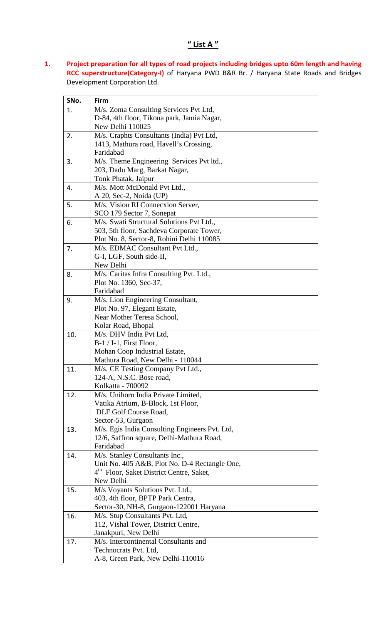#### 1. Project preparation for all types of road projects including bridges upto 60m length and having RCC superstructure(Category-I) of Haryana PWD B&R Br. / Haryana State Roads and Bridges Development Corporation Ltd.

| M/s. Zoma Consulting Services Pvt Ltd,<br>1.<br>D-84, 4th floor, Tikona park, Jamia Nagar,<br>New Delhi 110025 |
|----------------------------------------------------------------------------------------------------------------|
|                                                                                                                |
|                                                                                                                |
|                                                                                                                |
| M/s. Craphts Consultants (India) Pvt Ltd,<br>2.                                                                |
| 1413, Mathura road, Havell's Crossing,                                                                         |
| Faridabad                                                                                                      |
| M/s. Theme Engineering Services Pvt ltd.,<br>3.                                                                |
| 203, Dadu Marg, Barkat Nagar,                                                                                  |
| Tonk Phatak, Jaipur                                                                                            |
| M/s. Mott McDonald Pvt Ltd.,<br>4.                                                                             |
| A 20, Sec-2, Noida (UP)                                                                                        |
| M/s. Vision RI Connecxion Server,<br>5.                                                                        |
| SCO 179 Sector 7, Sonepat                                                                                      |
| M/s. Swati Structural Solutions Pvt Ltd.,<br>6.                                                                |
| 503, 5th floor, Sachdeva Corporate Tower,                                                                      |
| Plot No. 8, Sector-8, Rohini Delhi 110085                                                                      |
| M/s. EDMAC Consultant Pvt Ltd.,<br>7.                                                                          |
| G-I, LGF, South side-II,                                                                                       |
| New Delhi                                                                                                      |
| M/s. Caritas Infra Consulting Pvt. Ltd.,<br>8.                                                                 |
| Plot No. 1360, Sec-37,<br>Faridabad                                                                            |
| M/s. Lion Engineering Consultant,<br>9.                                                                        |
| Plot No. 97, Elegant Estate,                                                                                   |
| Near Mother Teresa School,                                                                                     |
| Kolar Road, Bhopal                                                                                             |
| M/s. DHV India Pvt Ltd,<br>10.                                                                                 |
| $B-1/1-1$ , First Floor,                                                                                       |
| Mohan Coop Industrial Estate,                                                                                  |
| Mathura Road, New Delhi - 110044                                                                               |
| M/s. CE Testing Company Pvt Ltd.,<br>11.                                                                       |
| 124-A, N.S.C. Bose road,                                                                                       |
| Kolkatta - 700092                                                                                              |
| M/s. Unihorn India Private Limited,<br>12.                                                                     |
| Vatika Atrium, B-Block, 1st Floor,                                                                             |
| DLF Golf Course Road,                                                                                          |
| Sector-53, Gurgaon                                                                                             |
| M/s. Egis India Consulting Engineers Pvt. Ltd,<br>13.                                                          |
| 12/6, Saffron square, Delhi-Mathura Road,                                                                      |
| Faridabad                                                                                                      |
| M/s. Stanley Consultants Inc.,<br>14.                                                                          |
| Unit No. 405 A&B, Plot No. D-4 Rectangle One,                                                                  |
| 4 <sup>th</sup> Floor, Saket District Centre, Saket,                                                           |
| New Delhi                                                                                                      |
| M/s Voyants Solutions Pvt. Ltd.,<br>15.                                                                        |
| 403, 4th floor, BPTP Park Centra,                                                                              |
| Sector-30, NH-8, Gurgaon-122001 Haryana                                                                        |
| M/s. Stup Consultants Pvt. Ltd,<br>16.<br>112, Vishal Tower, District Centre,                                  |
| Janakpuri, New Delhi                                                                                           |
| M/s. Intercontinental Consultants and<br>17.                                                                   |
| Technocrats Pvt. Ltd,                                                                                          |
| A-8, Green Park, New Delhi-110016                                                                              |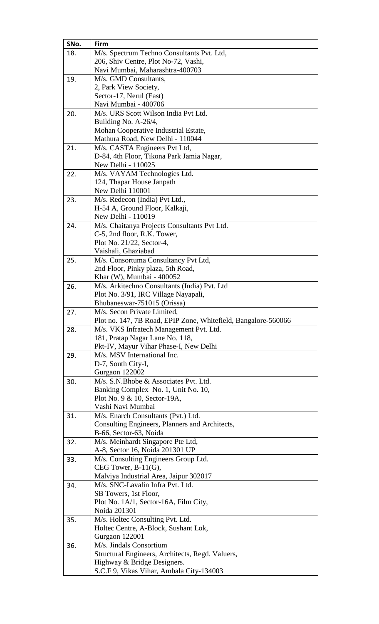| SNo. | Firm                                                             |
|------|------------------------------------------------------------------|
| 18.  | M/s. Spectrum Techno Consultants Pvt. Ltd,                       |
|      | 206, Shiv Centre, Plot No-72, Vashi,                             |
|      | Navi Mumbai, Maharashtra-400703                                  |
| 19.  | M/s. GMD Consultants,                                            |
|      | 2, Park View Society,                                            |
|      | Sector-17, Nerul (East)                                          |
|      | Navi Mumbai - 400706                                             |
| 20.  | M/s. URS Scott Wilson India Pvt Ltd.                             |
|      | Building No. A-26/4,                                             |
|      | Mohan Cooperative Industrial Estate,                             |
|      | Mathura Road, New Delhi - 110044                                 |
| 21.  | M/s. CASTA Engineers Pvt Ltd,                                    |
|      | D-84, 4th Floor, Tikona Park Jamia Nagar,                        |
|      | New Delhi - 110025                                               |
| 22.  | M/s. VAYAM Technologies Ltd.                                     |
|      | 124, Thapar House Janpath                                        |
|      | New Delhi 110001                                                 |
| 23.  | M/s. Redecon (India) Pvt Ltd.,                                   |
|      | H-54 A, Ground Floor, Kalkaji,                                   |
|      | New Delhi - 110019                                               |
| 24.  | M/s. Chaitanya Projects Consultants Pvt Ltd.                     |
|      | C-5, 2nd floor, R.K. Tower,                                      |
|      | Plot No. 21/22, Sector-4,                                        |
|      | Vaishali, Ghaziabad                                              |
| 25.  | M/s. Consortuma Consultancy Pvt Ltd,                             |
|      | 2nd Floor, Pinky plaza, 5th Road,                                |
|      | Khar (W), Mumbai - 400052                                        |
| 26.  | M/s. Arkitechno Consultants (India) Pvt. Ltd                     |
|      | Plot No. 3/91, IRC Village Nayapali,                             |
|      | Bhubaneswar-751015 (Orissa)                                      |
| 27.  | M/s. Secon Private Limited,                                      |
|      | Plot no. 147, 7B Road, EPIP Zone, Whitefield, Bangalore-560066   |
| 28.  | M/s. VKS Infratech Management Pvt. Ltd.                          |
|      | 181, Pratap Nagar Lane No. 118,                                  |
|      | Pkt-IV, Mayur Vihar Phase-I, New Delhi                           |
| 29.  | M/s. MSV International Inc.                                      |
|      | D-7, South City-I,                                               |
|      | Gurgaon 122002                                                   |
| 30.  | M/s. S.N. Bhobe & Associates Pvt. Ltd.                           |
|      | Banking Complex No. 1, Unit No. 10,                              |
|      | Plot No. 9 & 10, Sector-19A,                                     |
|      | Vashi Navi Mumbai                                                |
| 31.  | M/s. Enarch Consultants (Pvt.) Ltd.                              |
|      | Consulting Engineers, Planners and Architects,                   |
|      | B-66, Sector-63, Noida                                           |
| 32.  | M/s. Meinhardt Singapore Pte Ltd,                                |
|      | A-8, Sector 16, Noida 201301 UP                                  |
| 33.  | M/s. Consulting Engineers Group Ltd.                             |
|      | CEG Tower, $B-11(G)$ ,<br>Malviya Industrial Area, Jaipur 302017 |
|      | M/s. SNC-Lavalin Infra Pvt. Ltd.                                 |
| 34.  |                                                                  |
|      | SB Towers, 1st Floor,<br>Plot No. 1A/1, Sector-16A, Film City,   |
|      | Noida 201301                                                     |
| 35.  | M/s. Holtec Consulting Pvt. Ltd.                                 |
|      | Holtec Centre, A-Block, Sushant Lok,                             |
|      | Gurgaon 122001                                                   |
| 36.  | M/s. Jindals Consortium                                          |
|      | Structural Engineers, Architects, Regd. Valuers,                 |
|      | Highway & Bridge Designers.                                      |
|      | S.C.F 9, Vikas Vihar, Ambala City-134003                         |
|      |                                                                  |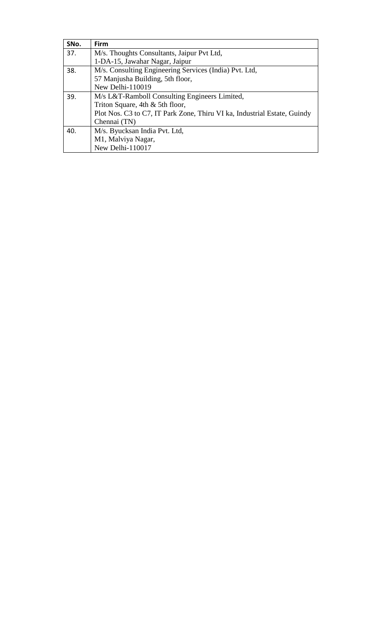| SNo. | Firm                                                                     |
|------|--------------------------------------------------------------------------|
| 37.  | M/s. Thoughts Consultants, Jaipur Pvt Ltd,                               |
|      | 1-DA-15, Jawahar Nagar, Jaipur                                           |
| 38.  | M/s. Consulting Engineering Services (India) Pvt. Ltd,                   |
|      | 57 Manjusha Building, 5th floor,                                         |
|      | New Delhi-110019                                                         |
| 39.  | M/s L&T-Ramboll Consulting Engineers Limited,                            |
|      | Triton Square, 4th & 5th floor,                                          |
|      | Plot Nos. C3 to C7, IT Park Zone, Thiru VI ka, Industrial Estate, Guindy |
|      | Chennai (TN)                                                             |
| 40.  | M/s. Byucksan India Pvt. Ltd,                                            |
|      | M1, Malviya Nagar,                                                       |
|      | New Delhi-110017                                                         |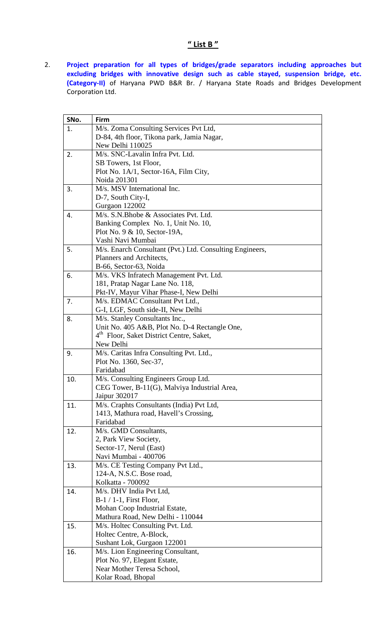### " List B "

2. Project preparation for all types of bridges/grade separators including approaches but excluding bridges with innovative design such as cable stayed, suspension bridge, etc. (Category-II) of Haryana PWD B&R Br. / Haryana State Roads and Bridges Development Corporation Ltd.

| SNo. | Firm                                                     |
|------|----------------------------------------------------------|
| 1.   | M/s. Zoma Consulting Services Pvt Ltd,                   |
|      | D-84, 4th floor, Tikona park, Jamia Nagar,               |
|      | New Delhi 110025                                         |
| 2.   | M/s. SNC-Lavalin Infra Pvt. Ltd.                         |
|      | SB Towers, 1st Floor,                                    |
|      | Plot No. 1A/1, Sector-16A, Film City,                    |
|      | Noida 201301                                             |
| 3.   | M/s. MSV International Inc.                              |
|      | D-7, South City-I,                                       |
|      | Gurgaon 122002                                           |
| 4.   | M/s. S.N. Bhobe & Associates Pvt. Ltd.                   |
|      | Banking Complex No. 1, Unit No. 10,                      |
|      | Plot No. 9 & 10, Sector-19A,                             |
|      | Vashi Navi Mumbai                                        |
| 5.   | M/s. Enarch Consultant (Pvt.) Ltd. Consulting Engineers, |
|      | Planners and Architects,                                 |
|      | B-66, Sector-63, Noida                                   |
| 6.   | M/s. VKS Infratech Management Pvt. Ltd.                  |
|      | 181, Pratap Nagar Lane No. 118,                          |
|      | Pkt-IV, Mayur Vihar Phase-I, New Delhi                   |
| 7.   | M/s. EDMAC Consultant Pvt Ltd.,                          |
|      | G-I, LGF, South side-II, New Delhi                       |
| 8.   | M/s. Stanley Consultants Inc.,                           |
|      | Unit No. 405 A&B, Plot No. D-4 Rectangle One,            |
|      | 4 <sup>th</sup> Floor, Saket District Centre, Saket,     |
|      | New Delhi                                                |
| 9.   | M/s. Caritas Infra Consulting Pvt. Ltd.,                 |
|      | Plot No. 1360, Sec-37,                                   |
|      | Faridabad                                                |
| 10.  | M/s. Consulting Engineers Group Ltd.                     |
|      | CEG Tower, B-11(G), Malviya Industrial Area,             |
|      | Jaipur 302017                                            |
| 11.  | M/s. Craphts Consultants (India) Pvt Ltd,                |
|      | 1413, Mathura road, Havell's Crossing,                   |
|      | Faridabad                                                |
| 12.  | M/s. GMD Consultants,<br>2, Park View Society,           |
|      | Sector-17, Nerul (East)                                  |
|      | Navi Mumbai - 400706                                     |
| 13.  | M/s. CE Testing Company Pvt Ltd.,                        |
|      | 124-A, N.S.C. Bose road,                                 |
|      | Kolkatta - 700092                                        |
| 14.  | M/s. DHV India Pvt Ltd,                                  |
|      | $B-1/1-1$ , First Floor,                                 |
|      | Mohan Coop Industrial Estate,                            |
|      | Mathura Road, New Delhi - 110044                         |
| 15.  | M/s. Holtec Consulting Pvt. Ltd.                         |
|      | Holtec Centre, A-Block,                                  |
|      | Sushant Lok, Gurgaon 122001                              |
| 16.  | M/s. Lion Engineering Consultant,                        |
|      | Plot No. 97, Elegant Estate,                             |
|      | Near Mother Teresa School,                               |
|      | Kolar Road, Bhopal                                       |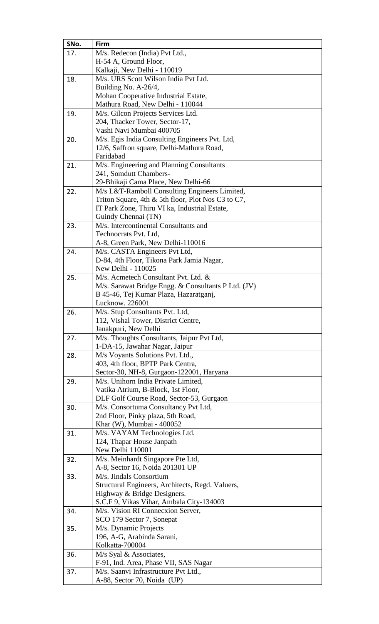| SNo. | Firm                                                                  |
|------|-----------------------------------------------------------------------|
| 17.  | M/s. Redecon (India) Pvt Ltd.,                                        |
|      | H-54 A, Ground Floor,                                                 |
|      | Kalkaji, New Delhi - 110019                                           |
| 18.  | M/s. URS Scott Wilson India Pvt Ltd.                                  |
|      | Building No. A-26/4,                                                  |
|      | Mohan Cooperative Industrial Estate,                                  |
|      | Mathura Road, New Delhi - 110044                                      |
| 19.  | M/s. Gilcon Projects Services Ltd.                                    |
|      | 204, Thacker Tower, Sector-17,                                        |
|      | Vashi Navi Mumbai 400705                                              |
| 20.  | M/s. Egis India Consulting Engineers Pvt. Ltd,                        |
|      | 12/6, Saffron square, Delhi-Mathura Road,                             |
|      | Faridabad                                                             |
| 21.  | M/s. Engineering and Planning Consultants                             |
|      | 241, Somdutt Chambers-                                                |
|      | 29-Bhikaji Cama Place, New Delhi-66                                   |
| 22.  | M/s L&T-Ramboll Consulting Engineers Limited,                         |
|      | Triton Square, 4th & 5th floor, Plot Nos C3 to C7,                    |
|      | IT Park Zone, Thiru VI ka, Industrial Estate,                         |
|      | Guindy Chennai (TN)                                                   |
| 23.  | M/s. Intercontinental Consultants and                                 |
|      | Technocrats Pvt. Ltd,                                                 |
|      | A-8, Green Park, New Delhi-110016                                     |
| 24.  | M/s. CASTA Engineers Pvt Ltd,                                         |
|      | D-84, 4th Floor, Tikona Park Jamia Nagar,                             |
|      | New Delhi - 110025                                                    |
| 25.  | M/s. Acmetech Consultant Pvt. Ltd. &                                  |
|      | M/s. Sarawat Bridge Engg. & Consultants P Ltd. (JV)                   |
|      | B 45-46, Tej Kumar Plaza, Hazaratganj,                                |
|      | Lucknow. 226001                                                       |
| 26.  | M/s. Stup Consultants Pvt. Ltd,                                       |
|      | 112, Vishal Tower, District Centre,                                   |
|      | Janakpuri, New Delhi                                                  |
| 27.  | M/s. Thoughts Consultants, Jaipur Pvt Ltd,                            |
|      | 1-DA-15, Jawahar Nagar, Jaipur                                        |
| 28.  | M/s Voyants Solutions Pvt. Ltd.,<br>403, 4th floor, BPTP Park Centra, |
|      | Sector-30, NH-8, Gurgaon-122001, Haryana                              |
| 29.  | M/s. Unihorn India Private Limited,                                   |
|      | Vatika Atrium, B-Block, 1st Floor,                                    |
|      | DLF Golf Course Road, Sector-53, Gurgaon                              |
| 30.  | M/s. Consortuma Consultancy Pvt Ltd,                                  |
|      | 2nd Floor, Pinky plaza, 5th Road,                                     |
|      | Khar (W), Mumbai - 400052                                             |
| 31.  | M/s. VAYAM Technologies Ltd.                                          |
|      | 124, Thapar House Janpath                                             |
|      | New Delhi 110001                                                      |
| 32.  | M/s. Meinhardt Singapore Pte Ltd,                                     |
|      | A-8, Sector 16, Noida 201301 UP                                       |
| 33.  | M/s. Jindals Consortium                                               |
|      | Structural Engineers, Architects, Regd. Valuers,                      |
|      | Highway & Bridge Designers.                                           |
|      | S.C.F 9, Vikas Vihar, Ambala City-134003                              |
| 34.  | M/s. Vision RI Connecxion Server,                                     |
|      | SCO 179 Sector 7, Sonepat                                             |
| 35.  | M/s. Dynamic Projects                                                 |
|      | 196, A-G, Arabinda Sarani,                                            |
|      | Kolkatta-700004                                                       |
| 36.  | M/s Syal & Associates,                                                |
|      | F-91, Ind. Area, Phase VII, SAS Nagar                                 |
| 37.  | M/s. Saanvi Infrastructure Pvt Ltd.,                                  |
|      | A-88, Sector 70, Noida (UP)                                           |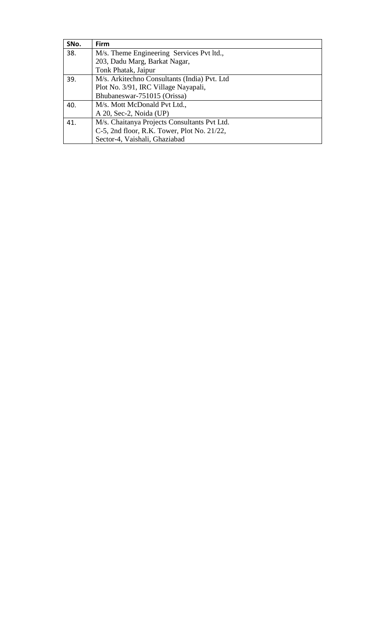| SNo. | <b>Firm</b>                                  |
|------|----------------------------------------------|
| 38.  | M/s. Theme Engineering Services Pvt ltd.,    |
|      | 203, Dadu Marg, Barkat Nagar,                |
|      | Tonk Phatak, Jaipur                          |
| 39.  | M/s. Arkitechno Consultants (India) Pvt. Ltd |
|      | Plot No. 3/91, IRC Village Nayapali,         |
|      | Bhubaneswar-751015 (Orissa)                  |
| 40.  | M/s. Mott McDonald Pvt Ltd.,                 |
|      | A 20, Sec-2, Noida (UP)                      |
| 41.  | M/s. Chaitanya Projects Consultants Pvt Ltd. |
|      | C-5, 2nd floor, R.K. Tower, Plot No. 21/22,  |
|      | Sector-4, Vaishali, Ghaziabad                |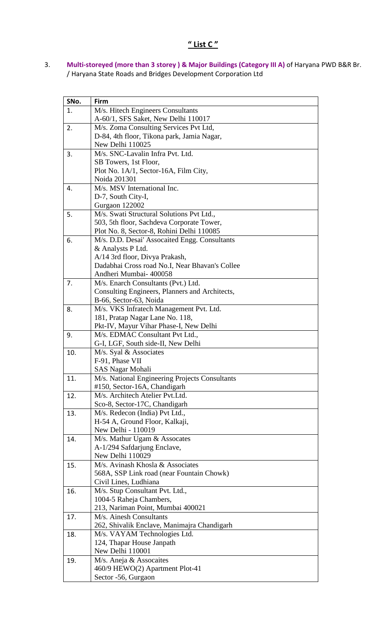3. Multi-storeyed (more than 3 storey ) & Major Buildings (Category III A) of Haryana PWD B&R Br. / Haryana State Roads and Bridges Development Corporation Ltd

| SNo. | Firm                                           |
|------|------------------------------------------------|
| 1.   | M/s. Hitech Engineers Consultants              |
|      | A-60/1, SFS Saket, New Delhi 110017            |
| 2.   | M/s. Zoma Consulting Services Pvt Ltd,         |
|      | D-84, 4th floor, Tikona park, Jamia Nagar,     |
|      | New Delhi 110025                               |
| 3.   | M/s. SNC-Lavalin Infra Pvt. Ltd.               |
|      | SB Towers, 1st Floor,                          |
|      | Plot No. 1A/1, Sector-16A, Film City,          |
|      | Noida 201301                                   |
| 4.   | M/s. MSV International Inc.                    |
|      | D-7, South City-I,                             |
|      | Gurgaon 122002                                 |
| 5.   | M/s. Swati Structural Solutions Pvt Ltd.,      |
|      | 503, 5th floor, Sachdeva Corporate Tower,      |
|      | Plot No. 8, Sector-8, Rohini Delhi 110085      |
| 6.   | M/s. D.D. Desai' Assocaited Engg. Consultants  |
|      | & Analysts P Ltd.                              |
|      | A/14 3rd floor, Divya Prakash,                 |
|      | Dadabhai Cross road No.I, Near Bhavan's Collee |
|      | Andheri Mumbai- 400058                         |
| 7.   | M/s. Enarch Consultants (Pvt.) Ltd.            |
|      | Consulting Engineers, Planners and Architects, |
|      | B-66, Sector-63, Noida                         |
| 8.   | M/s. VKS Infratech Management Pvt. Ltd.        |
|      | 181, Pratap Nagar Lane No. 118,                |
|      | Pkt-IV, Mayur Vihar Phase-I, New Delhi         |
| 9.   | M/s. EDMAC Consultant Pvt Ltd.,                |
|      | G-I, LGF, South side-II, New Delhi             |
| 10.  | M/s. Syal & Associates                         |
|      | F-91, Phase VII                                |
|      | <b>SAS Nagar Mohali</b>                        |
| 11.  | M/s. National Engineering Projects Consultants |
|      | #150, Sector-16A, Chandigarh                   |
| 12.  | M/s. Architech Atelier Pvt.Ltd.                |
|      | Sco-8, Sector-17C, Chandigarh                  |
| 13.  | M/s. Redecon (India) Pvt Ltd.,                 |
|      | H-54 A, Ground Floor, Kalkaji,                 |
|      | New Delhi - 110019                             |
| 14.  | M/s. Mathur Ugam & Assocates                   |
|      | A-1/294 Safdarjung Enclave,                    |
|      | New Delhi 110029                               |
| 15.  | M/s. Avinash Khosla & Associates               |
|      | 568A, SSP Link road (near Fountain Chowk)      |
|      | Civil Lines, Ludhiana                          |
| 16.  | M/s. Stup Consultant Pvt. Ltd.,                |
|      | 1004-5 Raheja Chambers,                        |
|      | 213, Nariman Point, Mumbai 400021              |
| 17.  | M/s. Ainesh Consultants                        |
|      | 262, Shivalik Enclave, Manimajra Chandigarh    |
| 18.  | M/s. VAYAM Technologies Ltd.                   |
|      | 124, Thapar House Janpath                      |
|      | New Delhi 110001                               |
| 19.  | M/s. Aneja & Assocaites                        |
|      | 460/9 HEWO(2) Apartment Plot-41                |
|      | Sector -56, Gurgaon                            |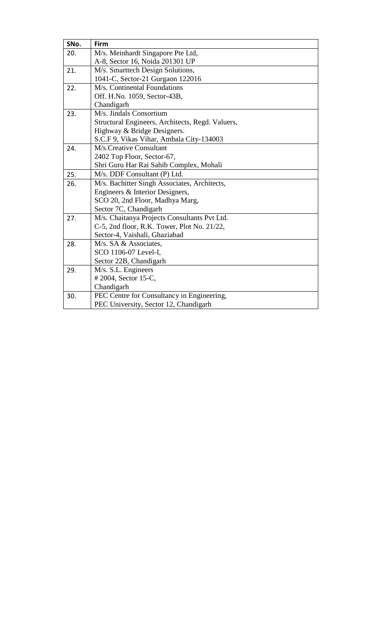| SNo. | Firm                                             |
|------|--------------------------------------------------|
| 20.  | M/s. Meinhardt Singapore Pte Ltd,                |
|      | A-8, Sector 16, Noida 201301 UP                  |
| 21.  | M/s. Smarttech Design Solutions,                 |
|      | 1041-C, Sector-21 Gurgaon 122016                 |
| 22.  | M/s. Continental Foundations                     |
|      | Off. H.No. 1059, Sector-43B,                     |
|      | Chandigarh                                       |
| 23.  | M/s. Jindals Consortium                          |
|      | Structural Engineers, Architects, Regd. Valuers, |
|      | Highway & Bridge Designers.                      |
|      | S.C.F 9, Vikas Vihar, Ambala City-134003         |
| 24.  | M/s.Creative Consultant                          |
|      | 2402 Top Floor, Sector-67,                       |
|      | Shri Guru Har Rai Sahib Complex, Mohali          |
| 25.  | M/s. DDF Consultant (P) Ltd.                     |
| 26.  | M/s. Bachitter Singh Associates, Architects,     |
|      | Engineers & Interior Designers,                  |
|      | SCO 20, 2nd Floor, Madhya Marg,                  |
|      | Sector 7C, Chandigarh                            |
| 27.  | M/s. Chaitanya Projects Consultants Pvt Ltd.     |
|      | C-5, 2nd floor, R.K. Tower, Plot No. 21/22,      |
|      | Sector-4, Vaishali, Ghaziabad                    |
| 28.  | M/s. SA & Associates.                            |
|      | SCO 1106-07 Level-I,                             |
|      | Sector 22B, Chandigarh                           |
| 29.  | M/s. S.L. Engineers                              |
|      | #2004, Sector 15-C,                              |
|      | Chandigarh                                       |
| 30.  | PEC Centre for Consultancy in Engineering,       |
|      | PEC University, Sector 12, Chandigarh            |